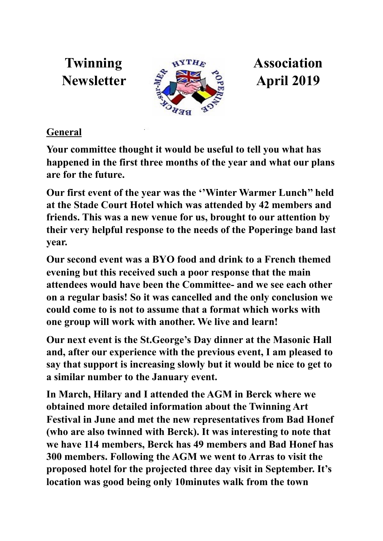

## **General**

**Your committee thought it would be useful to tell you what has happened in the first three months of the year and what our plans are for the future.** 

**Our first event of the year was the ''Winter Warmer Lunch'' held at the Stade Court Hotel which was attended by 42 members and friends. This was a new venue for us, brought to our attention by their very helpful response to the needs of the Poperinge band last year.** 

**Our second event was a BYO food and drink to a French themed evening but this received such a poor response that the main attendees would have been the Committee- and we see each other on a regular basis! So it was cancelled and the only conclusion we could come to is not to assume that a format which works with one group will work with another. We live and learn!** 

**Our next event is the St.George's Day dinner at the Masonic Hall and, after our experience with the previous event, I am pleased to say that support is increasing slowly but it would be nice to get to a similar number to the January event.** 

**In March, Hilary and I attended the AGM in Berck where we obtained more detailed information about the Twinning Art Festival in June and met the new representatives from Bad Honef (who are also twinned with Berck). It was interesting to note that we have 114 members, Berck has 49 members and Bad Honef has 300 members. Following the AGM we went to Arras to visit the proposed hotel for the projected three day visit in September. It's location was good being only 10minutes walk from the town**